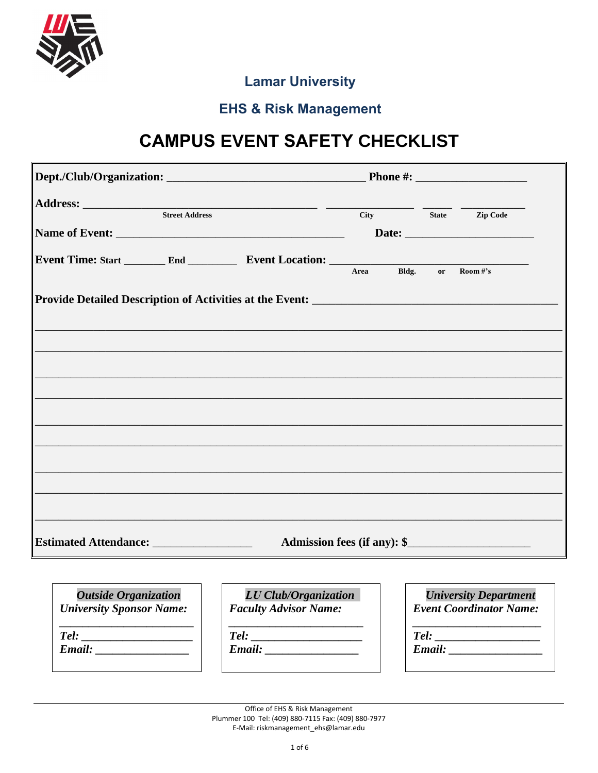

#### **Lamar University**

#### **EHS & Risk Management**

# **CAMPUS EVENT SAFETY CHECKLIST**

|  |                                                                                   |  | City State Zip Code         |
|--|-----------------------------------------------------------------------------------|--|-----------------------------|
|  |                                                                                   |  |                             |
|  |                                                                                   |  |                             |
|  | Event Time: Start _________ End ______________ Event Location: __________________ |  | Area Bldg. or Room#'s       |
|  |                                                                                   |  |                             |
|  |                                                                                   |  |                             |
|  |                                                                                   |  |                             |
|  |                                                                                   |  |                             |
|  |                                                                                   |  |                             |
|  |                                                                                   |  |                             |
|  |                                                                                   |  |                             |
|  |                                                                                   |  |                             |
|  |                                                                                   |  |                             |
|  |                                                                                   |  |                             |
|  |                                                                                   |  |                             |
|  |                                                                                   |  |                             |
|  |                                                                                   |  |                             |
|  |                                                                                   |  |                             |
|  |                                                                                   |  |                             |
|  |                                                                                   |  | Admission fees (if any): \$ |

| <b>Outside Organization</b>     |
|---------------------------------|
| <b>University Sponsor Name:</b> |

 $Tel:$ 

 $Email:$ 

| LU Club/Organization         |  |
|------------------------------|--|
| <b>Faculty Advisor Name:</b> |  |

 $Tel:$ 

Email:

|                                | <b>University Department</b> |  |  |  |  |  |
|--------------------------------|------------------------------|--|--|--|--|--|
| <b>Event Coordinator Name:</b> |                              |  |  |  |  |  |
| Tel:                           |                              |  |  |  |  |  |
| Email:                         |                              |  |  |  |  |  |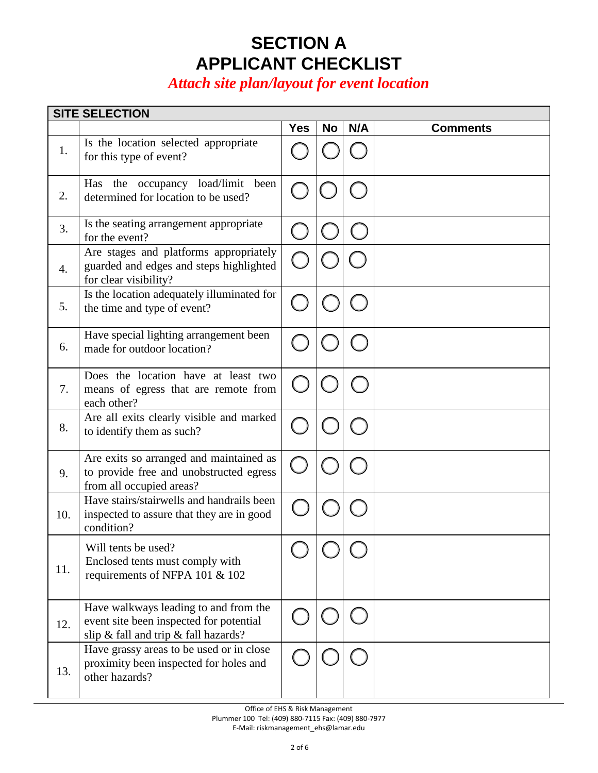## **SECTION A APPLICANT CHECKLIST**

### *Attach site plan/layout for event location*

|     | <b>SITE SELECTION</b>                                                                                                    |            |           |     |                 |
|-----|--------------------------------------------------------------------------------------------------------------------------|------------|-----------|-----|-----------------|
|     |                                                                                                                          | <b>Yes</b> | <b>No</b> | N/A | <b>Comments</b> |
| 1.  | Is the location selected appropriate<br>for this type of event?                                                          |            |           |     |                 |
| 2.  | Has the occupancy load/limit been<br>determined for location to be used?                                                 |            |           |     |                 |
| 3.  | Is the seating arrangement appropriate<br>for the event?                                                                 |            |           |     |                 |
| 4.  | Are stages and platforms appropriately<br>guarded and edges and steps highlighted<br>for clear visibility?               |            |           |     |                 |
| 5.  | Is the location adequately illuminated for<br>the time and type of event?                                                |            |           |     |                 |
| 6.  | Have special lighting arrangement been<br>made for outdoor location?                                                     |            |           |     |                 |
| 7.  | Does the location have at least two<br>means of egress that are remote from<br>each other?                               |            |           |     |                 |
| 8.  | Are all exits clearly visible and marked<br>to identify them as such?                                                    |            |           |     |                 |
| 9.  | Are exits so arranged and maintained as<br>to provide free and unobstructed egress<br>from all occupied areas?           |            |           |     |                 |
| 10. | Have stairs/stairwells and handrails been<br>inspected to assure that they are in good<br>condition?                     |            |           |     |                 |
| 11. | Will tents be used?<br>Enclosed tents must comply with<br>requirements of NFPA 101 & 102                                 |            |           |     |                 |
| 12. | Have walkways leading to and from the<br>event site been inspected for potential<br>slip & fall and trip & fall hazards? |            |           |     |                 |
| 13. | Have grassy areas to be used or in close<br>proximity been inspected for holes and<br>other hazards?                     |            |           |     |                 |

Office of EHS & Risk Management Plummer 100 Tel: (409) 880-7115 Fax: (409) 880-7977

E-Mail: riskmanagement\_ehs@lamar.edu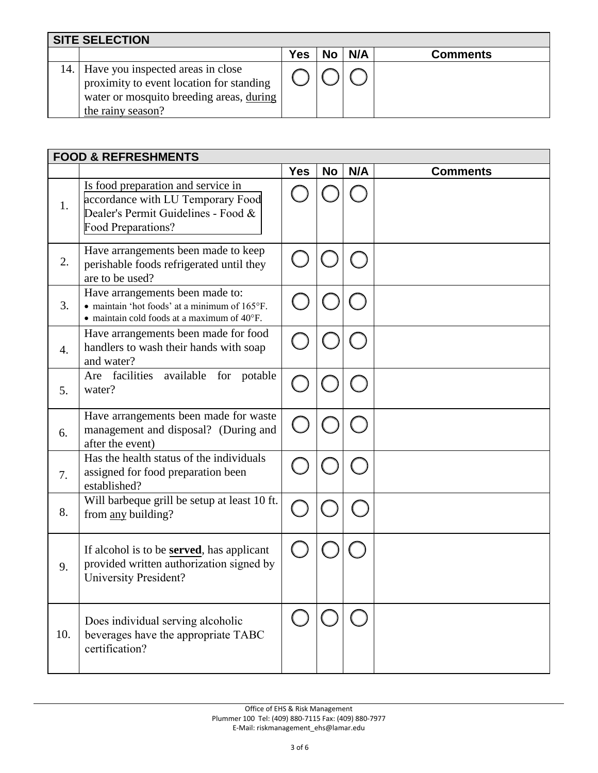| <b>SITE SELECTION</b>                                                                                                                              |     |              |                 |
|----------------------------------------------------------------------------------------------------------------------------------------------------|-----|--------------|-----------------|
|                                                                                                                                                    | Yes | $No$   $N/A$ | <b>Comments</b> |
| 14. Have you inspected areas in close<br>proximity to event location for standing<br>water or mosquito breeding areas, during<br>the rainy season? |     |              |                 |

|     | <b>FOOD &amp; REFRESHMENTS</b>                                                                                                       |            |           |     |                 |
|-----|--------------------------------------------------------------------------------------------------------------------------------------|------------|-----------|-----|-----------------|
|     |                                                                                                                                      | <b>Yes</b> | <b>No</b> | N/A | <b>Comments</b> |
| 1.  | Is food preparation and service in<br>accordance with LU Temporary Food<br>Dealer's Permit Guidelines - Food &<br>Food Preparations? |            |           |     |                 |
| 2.  | Have arrangements been made to keep<br>perishable foods refrigerated until they<br>are to be used?                                   |            |           |     |                 |
| 3.  | Have arrangements been made to:<br>• maintain 'hot foods' at a minimum of 165°F.<br>• maintain cold foods at a maximum of 40°F.      |            |           |     |                 |
| 4.  | Have arrangements been made for food<br>handlers to wash their hands with soap<br>and water?                                         |            |           |     |                 |
| 5.  | Are facilities available for potable<br>water?                                                                                       |            |           |     |                 |
| 6.  | Have arrangements been made for waste<br>management and disposal? (During and<br>after the event)                                    |            |           |     |                 |
| 7.  | Has the health status of the individuals<br>assigned for food preparation been<br>established?                                       |            |           |     |                 |
| 8.  | Will barbeque grill be setup at least 10 ft.<br>from any building?                                                                   |            |           |     |                 |
| 9.  | If alcohol is to be <b>served</b> , has applicant<br>provided written authorization signed by<br><b>University President?</b>        |            |           |     |                 |
| 10. | Does individual serving alcoholic<br>beverages have the appropriate TABC<br>certification?                                           |            |           |     |                 |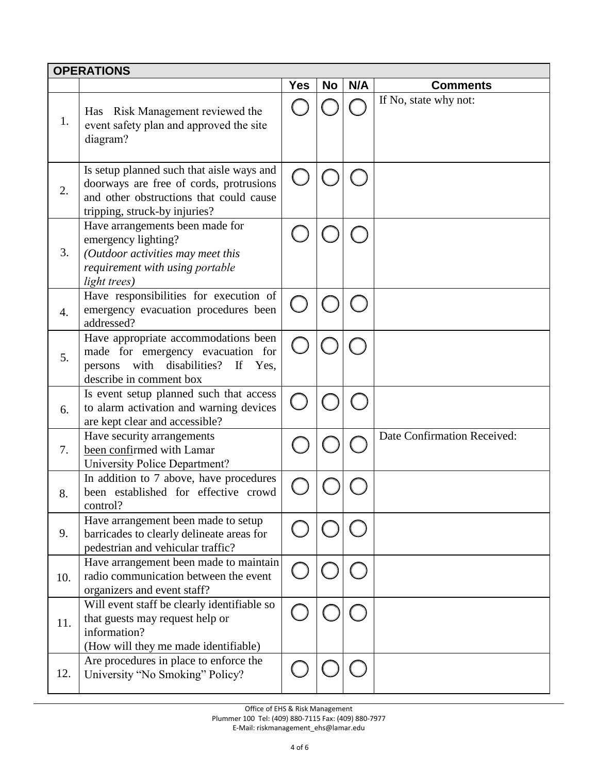|     | <b>OPERATIONS</b>                                                                                                                                                |            |           |     |                             |
|-----|------------------------------------------------------------------------------------------------------------------------------------------------------------------|------------|-----------|-----|-----------------------------|
|     |                                                                                                                                                                  | <b>Yes</b> | <b>No</b> | N/A | <b>Comments</b>             |
| 1.  | Has Risk Management reviewed the<br>event safety plan and approved the site<br>diagram?                                                                          |            |           |     | If No, state why not:       |
| 2.  | Is setup planned such that aisle ways and<br>doorways are free of cords, protrusions<br>and other obstructions that could cause<br>tripping, struck-by injuries? |            |           |     |                             |
| 3.  | Have arrangements been made for<br>emergency lighting?<br>(Outdoor activities may meet this<br>requirement with using portable<br>light trees)                   |            |           |     |                             |
| 4.  | Have responsibilities for execution of<br>emergency evacuation procedures been<br>addressed?                                                                     |            |           |     |                             |
| 5.  | Have appropriate accommodations been<br>made for emergency evacuation for<br>disabilities?<br>with<br>If<br>persons<br>Yes,<br>describe in comment box           |            |           |     |                             |
| 6.  | Is event setup planned such that access<br>to alarm activation and warning devices<br>are kept clear and accessible?                                             |            |           |     |                             |
| 7.  | Have security arrangements<br>been confirmed with Lamar<br>University Police Department?                                                                         |            |           |     | Date Confirmation Received: |
| 8.  | In addition to 7 above, have procedures<br>been established for effective crowd<br>control?                                                                      |            |           |     |                             |
| 9.  | Have arrangement been made to setup<br>barricades to clearly delineate areas for<br>pedestrian and vehicular traffic?                                            |            |           |     |                             |
| 10. | Have arrangement been made to maintain<br>radio communication between the event<br>organizers and event staff?                                                   |            |           |     |                             |
| 11. | Will event staff be clearly identifiable so<br>that guests may request help or<br>information?<br>(How will they me made identifiable)                           |            |           |     |                             |
| 12. | Are procedures in place to enforce the<br>University "No Smoking" Policy?                                                                                        |            |           |     |                             |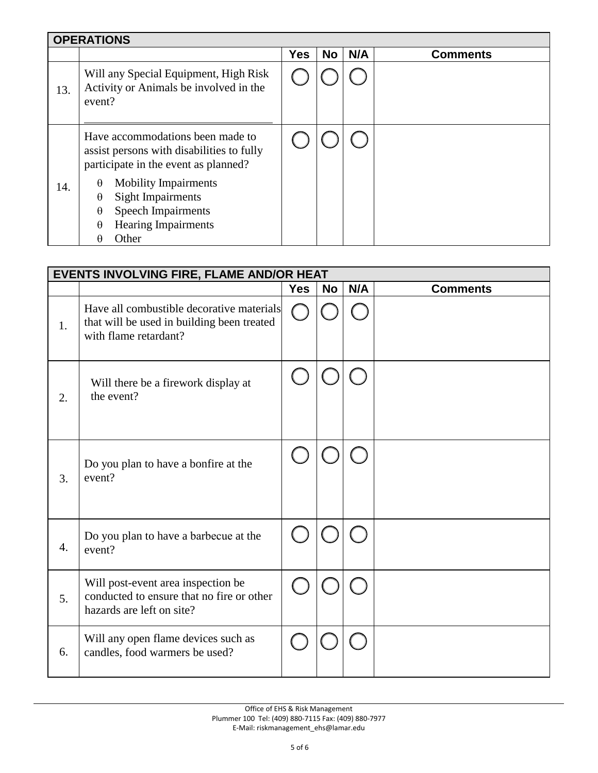|     | <b>OPERATIONS</b>                                                                                                     |            |           |     |                 |  |  |
|-----|-----------------------------------------------------------------------------------------------------------------------|------------|-----------|-----|-----------------|--|--|
|     |                                                                                                                       | <b>Yes</b> | <b>No</b> | N/A | <b>Comments</b> |  |  |
| 13. | Will any Special Equipment, High Risk<br>Activity or Animals be involved in the<br>event?                             |            |           |     |                 |  |  |
|     | Have accommodations been made to<br>assist persons with disabilities to fully<br>participate in the event as planned? |            |           |     |                 |  |  |
| 14. | <b>Mobility Impairments</b><br>$\theta$                                                                               |            |           |     |                 |  |  |
|     | Sight Impairments<br>$\theta$                                                                                         |            |           |     |                 |  |  |
|     | <b>Speech Impairments</b><br>$\theta$                                                                                 |            |           |     |                 |  |  |
|     | <b>Hearing Impairments</b><br>$\theta$                                                                                |            |           |     |                 |  |  |
|     | Other<br>H                                                                                                            |            |           |     |                 |  |  |

|    | <b>EVENTS INVOLVING FIRE, FLAME AND/OR HEAT</b>                                                                  |            |           |     |                 |  |  |
|----|------------------------------------------------------------------------------------------------------------------|------------|-----------|-----|-----------------|--|--|
|    |                                                                                                                  | <b>Yes</b> | <b>No</b> | N/A | <b>Comments</b> |  |  |
| 1. | Have all combustible decorative materials<br>that will be used in building been treated<br>with flame retardant? |            |           |     |                 |  |  |
| 2. | Will there be a firework display at<br>the event?                                                                |            |           |     |                 |  |  |
| 3. | Do you plan to have a bonfire at the<br>event?                                                                   |            |           |     |                 |  |  |
| 4. | Do you plan to have a barbecue at the<br>event?                                                                  |            |           |     |                 |  |  |
| 5. | Will post-event area inspection be<br>conducted to ensure that no fire or other<br>hazards are left on site?     |            |           |     |                 |  |  |
| 6. | Will any open flame devices such as<br>candles, food warmers be used?                                            |            |           |     |                 |  |  |